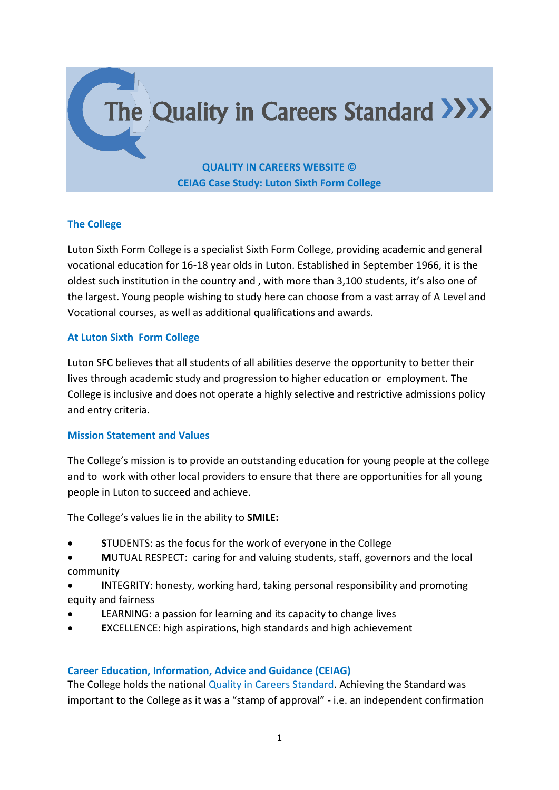

**QUALITY IN CAREERS WEBSITE © CEIAG Case Study: Luton Sixth Form College**

# **The College**

Luton Sixth Form College is a specialist Sixth Form College, providing academic and general vocational education for 16-18 year olds in Luton. Established in September 1966, it is the oldest such institution in the country and , with more than 3,100 students, it's also one of the largest. Young people wishing to study here can choose from a vast array of A Level and Vocational courses, as well as additional qualifications and awards.

### **At Luton Sixth Form College**

Luton SFC believes that all students of all abilities deserve the opportunity to better their lives through academic study and progression to higher education or employment. The College is inclusive and does not operate a highly selective and restrictive admissions policy and entry criteria.

### **Mission Statement and Values**

The College's mission is to provide an outstanding education for young people at the college and to work with other local providers to ensure that there are opportunities for all young people in Luton to succeed and achieve.

The College's values lie in the ability to **SMILE:**

- **S**TUDENTS: as the focus for the work of everyone in the College
- **M**UTUAL RESPECT: caring for and valuing students, staff, governors and the local community
- **I**NTEGRITY: honesty, working hard, taking personal responsibility and promoting equity and fairness
- **L**EARNING: a passion for learning and its capacity to change lives
- **E**XCELLENCE: high aspirations, high standards and high achievement

# **Career Education, Information, Advice and Guidance (CEIAG)**

The College holds the national Quality in Careers Standard. Achieving the Standard was important to the College as it was a "stamp of approval" - i.e. an independent confirmation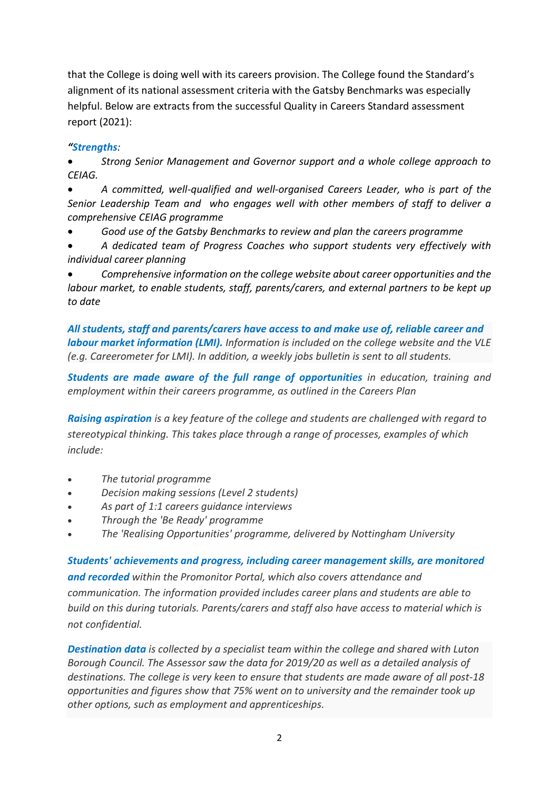that the College is doing well with its careers provision. The College found the Standard's alignment of its national assessment criteria with the Gatsby Benchmarks was especially helpful. Below are extracts from the successful Quality in Careers Standard assessment report (2021):

# *"Strengths:*

• *Strong Senior Management and Governor support and a whole college approach to CEIAG.* 

• *A committed, well-qualified and well-organised Careers Leader, who is part of the Senior Leadership Team and who engages well with other members of staff to deliver a comprehensive CEIAG programme*

• *Good use of the Gatsby Benchmarks to review and plan the careers programme*

• *A dedicated team of Progress Coaches who support students very effectively with individual career planning*

• *Comprehensive information on the college website about career opportunities and the labour market, to enable students, staff, parents/carers, and external partners to be kept up to date* 

*All students, staff and parents/carers have access to and make use of, reliable career and labour market information (LMI). Information is included on the college website and the VLE (e.g. Careerometer for LMI). In addition, a weekly jobs bulletin is sent to all students.*

*Students are made aware of the full range of opportunities in education, training and employment within their careers programme, as outlined in the Careers Plan*

*Raising aspiration is a key feature of the college and students are challenged with regard to stereotypical thinking. This takes place through a range of processes, examples of which include:*

- *The tutorial programme*
- *Decision making sessions (Level 2 students)*
- *As part of 1:1 careers guidance interviews*
- *Through the 'Be Ready' programme*
- *The 'Realising Opportunities' programme, delivered by Nottingham University*

*Students' achievements and progress, including career management skills, are monitored and recorded within the Promonitor Portal, which also covers attendance and communication. The information provided includes career plans and students are able to build on this during tutorials. Parents/carers and staff also have access to material which is not confidential.*

*Destination data is collected by a specialist team within the college and shared with Luton Borough Council. The Assessor saw the data for 2019/20 as well as a detailed analysis of destinations. The college is very keen to ensure that students are made aware of all post-18 opportunities and figures show that 75% went on to university and the remainder took up other options, such as employment and apprenticeships.*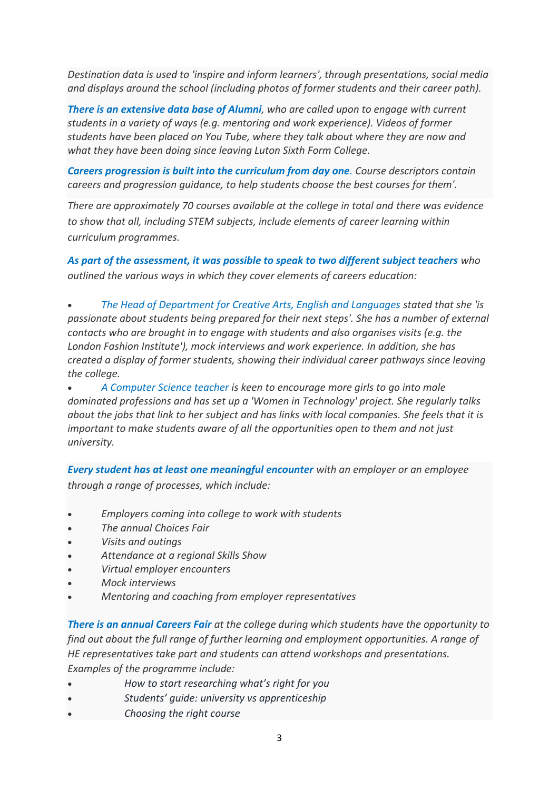*Destination data is used to 'inspire and inform learners', through presentations, social media and displays around the school (including photos of former students and their career path).*

*There is an extensive data base of Alumni, who are called upon to engage with current students in a variety of ways (e.g. mentoring and work experience). Videos of former students have been placed on You Tube, where they talk about where they are now and what they have been doing since leaving Luton Sixth Form College.*

*Careers progression is built into the curriculum from day one. Course descriptors contain careers and progression guidance, to help students choose the best courses for them'.*

*There are approximately 70 courses available at the college in total and there was evidence to show that all, including STEM subjects, include elements of career learning within curriculum programmes.*

*As part of the assessment, it was possible to speak to two different subject teachers who outlined the various ways in which they cover elements of careers education:*

• *The Head of Department for Creative Arts, English and Languages stated that she 'is passionate about students being prepared for their next steps'. She has a number of external contacts who are brought in to engage with students and also organises visits (e.g. the London Fashion Institute'), mock interviews and work experience. In addition, she has created a display of former students, showing their individual career pathways since leaving the college.*

• *A Computer Science teacher is keen to encourage more girls to go into male dominated professions and has set up a 'Women in Technology' project. She regularly talks about the jobs that link to her subject and has links with local companies. She feels that it is important to make students aware of all the opportunities open to them and not just university.* 

*Every student has at least one meaningful encounter with an employer or an employee through a range of processes, which include:*

- *Employers coming into college to work with students*
- *The annual Choices Fair*
- *Visits and outings*
- *Attendance at a regional Skills Show*
- *Virtual employer encounters*
- *Mock interviews*
- *Mentoring and coaching from employer representatives*

*There is an annual Careers Fair at the college during which students have the opportunity to find out about the full range of further learning and employment opportunities. A range of HE representatives take part and students can attend workshops and presentations. Examples of the programme include:*

- • *How to start researching what's right for you*
- • *Students' guide: university vs apprenticeship*
- • *Choosing the right course*